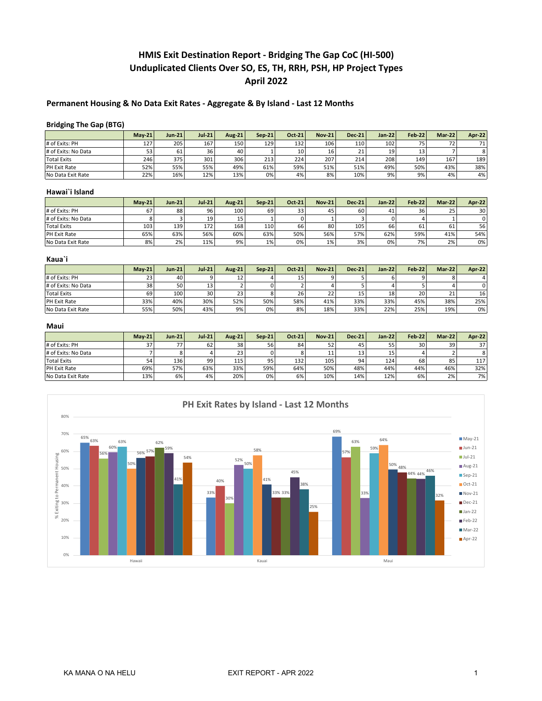# **HMIS Exit Destination Report - Bridging The Gap CoC (HI-500) Unduplicated Clients Over SO, ES, TH, RRH, PSH, HP Project Types April 2022**

## **Permanent Housing & No Data Exit Rates - Aggregate & By Island - Last 12 Months**

#### **Bridging The Gap (BTG)**

|                     | $Mav-21$ | $Jun-21$ | $Jul-21$ | <b>Aug-21</b> | $Sen-21$ | <b>Oct-21</b> | $Nov-21$ | <b>Dec-21</b> | $Jan-22$ | <b>Feb-22</b> | Mar-22 | <b>Apr-22</b>   |
|---------------------|----------|----------|----------|---------------|----------|---------------|----------|---------------|----------|---------------|--------|-----------------|
| # of Exits: PH      | 127      | 205      | 167      | 150           | 129      | 132           | 106      | 110           | 102      | 75            | רד     | 71 <sub>1</sub> |
| # of Exits: No Data | 53       | 61       | 36       | 40            |          | 10            | 16       | 21            | 19       |               |        | 8               |
| <b>Total Exits</b>  | 246      | 375      | 301      | 306           | 213      | 224           | 207      | 214           | 208      | 149           | 167    | 189             |
| PH Exit Rate        | 52%      | 55%      | 55%      | 49%           | 61%      | 59%           | 51%      | 51%           | 49%      | 50%           | 43%    | 38%             |
| No Data Exit Rate   | 22%      | 16%      | 12%      | 13%           | 0%       | 4%            | 8%       | 10%           | 9%       | 9%            | 4%     | 4%              |

#### **Hawai`i Island**

|                     | $Mav-21$ | $Jun-21$ | $Jul-21$ | <b>Aug-21</b> | $Sen-21$ | <b>Oct-21</b> | <b>Nov-21</b> | $Dec-21$ | $Jan-22$ | <b>Feb-22</b> | $Mar-22$ | <b>Apr-22</b> |
|---------------------|----------|----------|----------|---------------|----------|---------------|---------------|----------|----------|---------------|----------|---------------|
| # of Exits: PH      | 67       | 88       | 96       | 100           | 69       | 33            | 45            | 60       | 41       | 36            | 25       | 301           |
| # of Exits: No Data |          |          | 19       |               |          |               |               |          |          |               |          |               |
| <b>Total Exits</b>  | 103      | 139      | 172      | 168           | 110      | 66            | 80            | 105      | 66       | 61            | ы        | 56            |
| <b>PH Exit Rate</b> | 65%      | 63%      | 56%      | 60%           | 63%      | 50%           | 56%           | 57%      | 62%      | 59%           | 41%      | 54%           |
| No Data Exit Rate   | 8%       | 2%       | 11%      | 9%            | 1%       | 0%            | 1%            | 3%       | 0%       | 7%            | 2%       | 0%            |

#### **Kaua`i**

|                     | $Mav-21$ | $Jun-21$ | $Jul-21$        | Aug-21 | $Sen-21$ | $Oct-21$ | <b>Nov-21</b> | $Dec-21$ | $Jan-22$ | Feb-22 | <b>Mar-22</b> | <b>Apr-22</b> |
|---------------------|----------|----------|-----------------|--------|----------|----------|---------------|----------|----------|--------|---------------|---------------|
| # of Exits: PH      | 23       | 40       |                 | 12     |          |          |               |          |          |        |               |               |
| # of Exits: No Data | 38       | 50       | 13              |        |          |          |               |          |          |        |               |               |
| <b>Total Exits</b>  | 69       | 100      | 30 <sup>1</sup> | 23     |          | 26       | $22 -$        | 15       | 18       | 20     | $\sim$        | 16            |
| PH Exit Rate        | 33%      | 40%      | 30%             | 52%    | 50%      | 58%      | 41%           | 33%      | 33%      | 45%    | 38%           | 25%           |
| No Data Exit Rate   | 55%      | 50%      | 43%             | 9%     | 0%       | 8%       | 18%           | 33%      | 22%      | 25%    | 19%           | $0\%$         |

#### **Maui**

|                     | $Mav-21$ | <b>Jun-21</b> | $Jul-21$ | Aug-21 | $Sen-21$ | Oct-21 | $Nov-21$ | $Dec-21$ | Jan-22 $\parallel$ | <b>Feb-22</b> | $Mar-22$ | <b>Apr-22</b> |
|---------------------|----------|---------------|----------|--------|----------|--------|----------|----------|--------------------|---------------|----------|---------------|
| # of Exits: PH      | っっ       | 77            | 62       | 38     | 56       | 84     | 52       | 45       | 55                 | 30            | 39       | 37            |
| # of Exits: No Data |          |               |          | 23     |          |        | 11       | 13       | 15                 |               |          |               |
| <b>Total Exits</b>  | 54       | 136           | 99       | 115    | 95       | 132    | 105      | 94       | 124                | 68            | 85       | 117           |
| PH Exit Rate        | 69%      | 57%           | 63%      | 33%    | 59%      | 64%    | 50%      | 48%      | 44%                | 44%           | 46%      | 32%           |
| No Data Exit Rate   | 13%      | 6%            | 4%       | 20%    | 0%       | 6%     | 10%      | 14%      | 12%                | 6%            | 2%       | 7%1           |

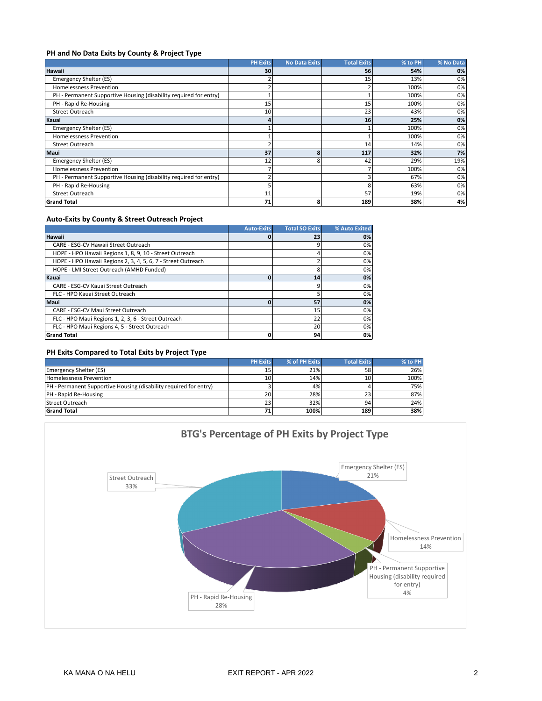#### **PH and No Data Exits by County & Project Type**

|                                                                   | <b>PH Exits</b> | <b>No Data Exits</b> | <b>Total Exits</b> | % to PH | % No Data |
|-------------------------------------------------------------------|-----------------|----------------------|--------------------|---------|-----------|
| <b>Hawaii</b>                                                     | 30              |                      | 56                 | 54%     | 0%        |
| Emergency Shelter (ES)                                            |                 |                      | 15                 | 13%     | 0%        |
| <b>Homelessness Prevention</b>                                    |                 |                      |                    | 100%    | 0%        |
| PH - Permanent Supportive Housing (disability required for entry) |                 |                      |                    | 100%    | 0%        |
| PH - Rapid Re-Housing                                             | 15              |                      | 15                 | 100%    | 0%        |
| <b>Street Outreach</b>                                            | 10              |                      | 23                 | 43%     | 0%        |
| Kauai                                                             |                 |                      | 16                 | 25%     | 0%        |
| Emergency Shelter (ES)                                            |                 |                      |                    | 100%    | 0%        |
| <b>Homelessness Prevention</b>                                    |                 |                      |                    | 100%    | 0%        |
| <b>Street Outreach</b>                                            |                 |                      | 14                 | 14%     | 0%        |
| Maui                                                              | 37              | 8                    | 117                | 32%     | 7%        |
| Emergency Shelter (ES)                                            | 12              | 8                    | 42                 | 29%     | 19%       |
| <b>Homelessness Prevention</b>                                    |                 |                      |                    | 100%    | 0%        |
| PH - Permanent Supportive Housing (disability required for entry) |                 |                      |                    | 67%     | 0%        |
| PH - Rapid Re-Housing                                             |                 |                      | 8                  | 63%     | 0%        |
| <b>Street Outreach</b>                                            | 11              |                      | 57                 | 19%     | 0%        |
| <b>Grand Total</b>                                                | 71              | 8                    | 189                | 38%     | 4%        |

#### **Auto-Exits by County & Street Outreach Project**

|                                                              | <b>Auto-Exits</b> | <b>Total SO Exits</b> | % Auto Exited |
|--------------------------------------------------------------|-------------------|-----------------------|---------------|
| <b>Hawaii</b>                                                |                   | 23                    | 0%            |
| CARE - ESG-CV Hawaii Street Outreach                         |                   | 9                     | 0%            |
| HOPE - HPO Hawaii Regions 1, 8, 9, 10 - Street Outreach      |                   | 4                     | 0%            |
| HOPE - HPO Hawaii Regions 2, 3, 4, 5, 6, 7 - Street Outreach |                   |                       | 0%            |
| HOPE - LMI Street Outreach (AMHD Funded)                     |                   | 8                     | 0%            |
| Kauai                                                        |                   | 14                    | 0%            |
| CARE - ESG-CV Kauai Street Outreach                          |                   | 9                     | 0%            |
| FLC - HPO Kauai Street Outreach                              |                   | 5                     | 0%            |
| Maui                                                         |                   | 57                    | 0%            |
| CARE - ESG-CV Maui Street Outreach                           |                   | 15                    | 0%            |
| FLC - HPO Maui Regions 1, 2, 3, 6 - Street Outreach          |                   | 22                    | 0%            |
| FLC - HPO Maui Regions 4, 5 - Street Outreach                |                   | 20                    | 0%            |
| <b>Grand Total</b>                                           |                   | 94                    | 0%            |

# **PH Exits Compared to Total Exits by Project Type**

|                                                                          | <b>PH Exits</b> | % of PH Exits | <b>Total Exits</b> | % to PH |
|--------------------------------------------------------------------------|-----------------|---------------|--------------------|---------|
| <b>Emergency Shelter (ES)</b>                                            | 15              | 21%           | 58                 | 26%     |
| <b>Homelessness Prevention</b>                                           | 10.             | 14%           | 10                 | 100%    |
| <b>PH</b> - Permanent Supportive Housing (disability required for entry) |                 | 4%            |                    | 75%     |
| PH - Rapid Re-Housing                                                    | 20              | 28%           | 23                 | 87%     |
| Street Outreach                                                          | 23              | 32%           | 94                 | 24%     |
| <b>Grand Total</b>                                                       | 71              | 100%          | 189                | 38%     |